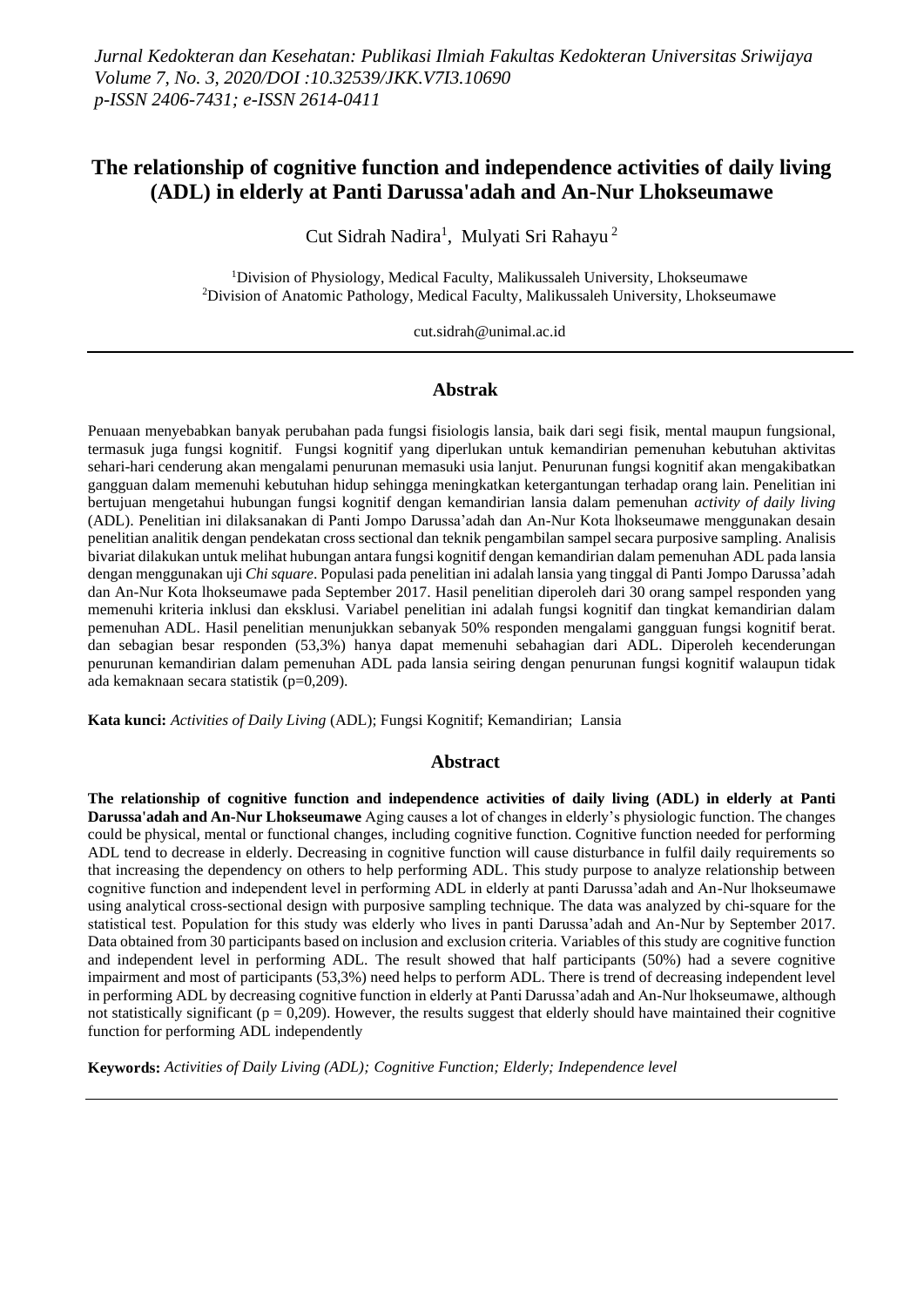209 Cut Sidrah, *The relationship of cognitive function Jurnal Kedokteran dan Kesehatan: Publikasi Ilmiah Fakultas Kedokteran Universitas Sriwijaya Volume 7, No. 3, 2020/DOI [:10.32539/JKK.V7I3.10690](https://doi.org/10.32539/JKK.V7I1.8854) p-ISSN 2406-7431; e-ISSN 2614-0411*

#### **The relationship of cognitive function and independence activities of daily living (ADL) in elderly at Panti Darussa'adah and An-Nur Lhokseumawe**

Cut Sidrah Nadira<sup>1</sup>, Mulyati Sri Rahayu<sup>2</sup>

<sup>1</sup>Division of Physiology, Medical Faculty, Malikussaleh University, Lhokseumawe <sup>2</sup>Division of Anatomic Pathology, Medical Faculty, Malikussaleh University, Lhokseumawe

cut.sidrah@unimal.ac.id

#### **Abstrak**

Penuaan menyebabkan banyak perubahan pada fungsi fisiologis lansia, baik dari segi fisik, mental maupun fungsional, termasuk juga fungsi kognitif. Fungsi kognitif yang diperlukan untuk kemandirian pemenuhan kebutuhan aktivitas sehari-hari cenderung akan mengalami penurunan memasuki usia lanjut. Penurunan fungsi kognitif akan mengakibatkan gangguan dalam memenuhi kebutuhan hidup sehingga meningkatkan ketergantungan terhadap orang lain. Penelitian ini bertujuan mengetahui hubungan fungsi kognitif dengan kemandirian lansia dalam pemenuhan *activity of daily living* (ADL). Penelitian ini dilaksanakan di Panti Jompo Darussa'adah dan An-Nur Kota lhokseumawe menggunakan desain penelitian analitik dengan pendekatan cross sectional dan teknik pengambilan sampel secara purposive sampling. Analisis bivariat dilakukan untuk melihat hubungan antara fungsi kognitif dengan kemandirian dalam pemenuhan ADL pada lansia dengan menggunakan uji *Chi square*. Populasi pada penelitian ini adalah lansia yang tinggal di Panti Jompo Darussa'adah dan An-Nur Kota lhokseumawe pada September 2017. Hasil penelitian diperoleh dari 30 orang sampel responden yang memenuhi kriteria inklusi dan eksklusi. Variabel penelitian ini adalah fungsi kognitif dan tingkat kemandirian dalam pemenuhan ADL. Hasil penelitian menunjukkan sebanyak 50% responden mengalami gangguan fungsi kognitif berat. dan sebagian besar responden (53,3%) hanya dapat memenuhi sebahagian dari ADL. Diperoleh kecenderungan penurunan kemandirian dalam pemenuhan ADL pada lansia seiring dengan penurunan fungsi kognitif walaupun tidak ada kemaknaan secara statistik (p=0,209).

**Kata kunci:** *Activities of Daily Living* (ADL); Fungsi Kognitif; Kemandirian; Lansia

#### **Abstract**

**The relationship of cognitive function and independence activities of daily living (ADL) in elderly at Panti Darussa'adah and An-Nur Lhokseumawe** Aging causes a lot of changes in elderly's physiologic function. The changes could be physical, mental or functional changes, including cognitive function. Cognitive function needed for performing ADL tend to decrease in elderly. Decreasing in cognitive function will cause disturbance in fulfil daily requirements so that increasing the dependency on others to help performing ADL. This study purpose to analyze relationship between cognitive function and independent level in performing ADL in elderly at panti Darussa'adah and An-Nur lhokseumawe using analytical cross-sectional design with purposive sampling technique. The data was analyzed by chi-square for the statistical test. Population for this study was elderly who lives in panti Darussa'adah and An-Nur by September 2017. Data obtained from 30 participants based on inclusion and exclusion criteria. Variables of this study are cognitive function and independent level in performing ADL. The result showed that half participants (50%) had a severe cognitive impairment and most of participants (53,3%) need helps to perform ADL. There is trend of decreasing independent level in performing ADL by decreasing cognitive function in elderly at Panti Darussa'adah and An-Nur lhokseumawe, although not statistically significant ( $p = 0,209$ ). However, the results suggest that elderly should have maintained their cognitive function for performing ADL independently

**Keywords:** *Activities of Daily Living (ADL); Cognitive Function; Elderly; Independence level*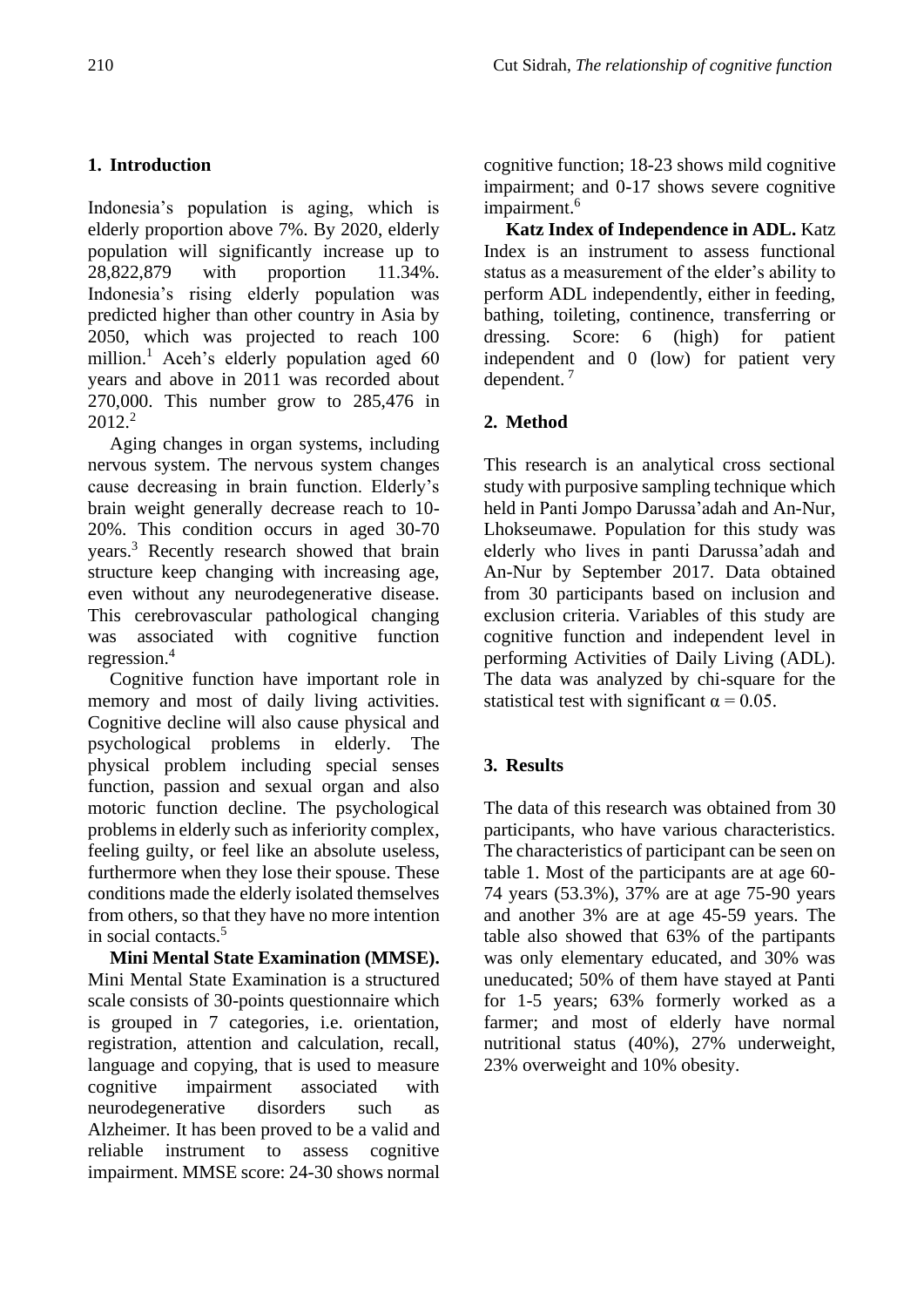# **1. Introduction**

Indonesia's population is aging, which is elderly proportion above 7%. By 2020, elderly population will significantly increase up to 28,822,879 with proportion 11.34%. Indonesia's rising elderly population was predicted higher than other country in Asia by 2050, which was projected to reach 100 million.<sup>1</sup> Aceh's elderly population aged 60 years and above in 2011 was recorded about 270,000. This number grow to 285,476 in  $2012.<sup>2</sup>$ 

Aging changes in organ systems, including nervous system. The nervous system changes cause decreasing in brain function. Elderly's brain weight generally decrease reach to 10- 20%. This condition occurs in aged 30-70 years.<sup>3</sup> Recently research showed that brain structure keep changing with increasing age, even without any neurodegenerative disease. This cerebrovascular pathological changing was associated with cognitive function regression.<sup>4</sup>

Cognitive function have important role in memory and most of daily living activities. Cognitive decline will also cause physical and psychological problems in elderly. The physical problem including special senses function, passion and sexual organ and also motoric function decline. The psychological problems in elderly such as inferiority complex, feeling guilty, or feel like an absolute useless, furthermore when they lose their spouse. These conditions made the elderly isolated themselves from others, so that they have no more intention in social contacts.<sup>5</sup>

**Mini Mental State Examination (MMSE).** Mini Mental State Examination is a structured scale consists of 30-points questionnaire which is grouped in 7 categories, i.e. orientation, registration, attention and calculation, recall, language and copying, that is used to measure cognitive impairment associated with neurodegenerative disorders such as Alzheimer*.* It has been proved to be a valid and reliable instrument to assess cognitive impairment. MMSE score: 24-30 shows normal cognitive function; 18-23 shows mild cognitive impairment; and 0-17 shows severe cognitive impairment.<sup>6</sup>

**Katz Index of Independence in ADL.** Katz Index is an instrument to assess functional status as a measurement of the elder's ability to perform ADL independently, either in feeding, bathing, toileting, continence, transferring or dressing. Score: 6 (high) for patient independent and 0 (low) for patient very dependent. <sup>7</sup>

## **2. Method**

This research is an analytical cross sectional study with purposive sampling technique which held in Panti Jompo Darussa'adah and An-Nur, Lhokseumawe. Population for this study was elderly who lives in panti Darussa'adah and An-Nur by September 2017. Data obtained from 30 participants based on inclusion and exclusion criteria. Variables of this study are cognitive function and independent level in performing Activities of Daily Living (ADL). The data was analyzed by chi-square for the statistical test with significant  $\alpha = 0.05$ .

## **3. Results**

The data of this research was obtained from 30 participants, who have various characteristics. The characteristics of participant can be seen on table 1. Most of the participants are at age 60- 74 years (53.3%), 37% are at age 75-90 years and another 3% are at age 45-59 years. The table also showed that 63% of the partipants was only elementary educated, and 30% was uneducated; 50% of them have stayed at Panti for 1-5 years; 63% formerly worked as a farmer; and most of elderly have normal nutritional status (40%), 27% underweight, 23% overweight and 10% obesity.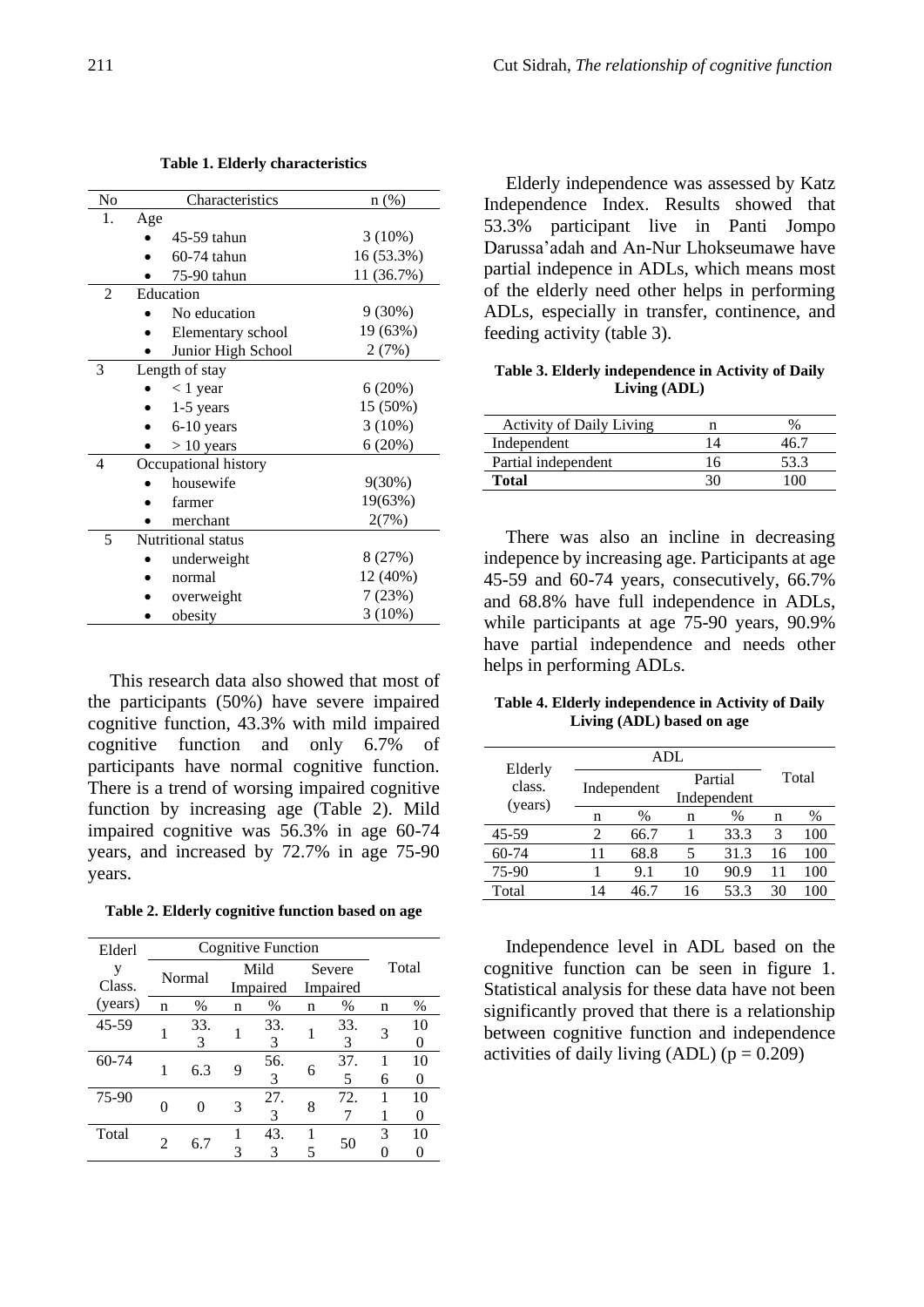| No                       | Characteristics<br>(% )<br>n |            |  |  |  |  |
|--------------------------|------------------------------|------------|--|--|--|--|
| 1.                       | Age                          |            |  |  |  |  |
|                          | 45-59 tahun                  | $3(10\%)$  |  |  |  |  |
|                          | $60-74$ tahun                | 16 (53.3%) |  |  |  |  |
|                          | 75-90 tahun                  | 11 (36.7%) |  |  |  |  |
| 2                        | Education                    |            |  |  |  |  |
|                          | No education                 | $9(30\%)$  |  |  |  |  |
|                          | Elementary school            | 19 (63%)   |  |  |  |  |
|                          | Junior High School           | 2(7%)      |  |  |  |  |
| 3                        | Length of stay               |            |  |  |  |  |
|                          | $< 1$ year                   | 6(20%)     |  |  |  |  |
|                          | $1-5$ years                  | 15 (50%)   |  |  |  |  |
|                          | $6-10$ years                 | 3(10%)     |  |  |  |  |
|                          | $> 10$ years                 | 6(20%)     |  |  |  |  |
| $\overline{\mathcal{A}}$ | Occupational history         |            |  |  |  |  |
|                          | housewife                    | $9(30\%)$  |  |  |  |  |
|                          | farmer                       | 19(63%)    |  |  |  |  |
|                          | merchant                     | 2(7%)      |  |  |  |  |
| 5                        | Nutritional status           |            |  |  |  |  |
|                          | underweight                  | 8 (27%)    |  |  |  |  |
|                          | normal                       | 12 (40%)   |  |  |  |  |
|                          | overweight                   | 7(23%)     |  |  |  |  |
|                          | obesity                      | 3(10%)     |  |  |  |  |

**Table 1. Elderly characteristics**

This research data also showed that most of the participants (50%) have severe impaired cognitive function, 43.3% with mild impaired cognitive function and only 6.7% of participants have normal cognitive function. There is a trend of worsing impaired cognitive function by increasing age (Table 2). Mild impaired cognitive was 56.3% in age 60-74 years, and increased by 72.7% in age 75-90 years.

**Table 2. Elderly cognitive function based on age**

| Elderl    | <b>Cognitive Function</b> |      |                  |      |                    |      |       |      |  |
|-----------|---------------------------|------|------------------|------|--------------------|------|-------|------|--|
| Class.    | Normal                    |      | Mild<br>Impaired |      | Severe<br>Impaired |      | Total |      |  |
|           |                           |      |                  |      |                    |      |       |      |  |
| (years)   | n                         | $\%$ | n                | $\%$ | n                  | $\%$ | n     | $\%$ |  |
| $45 - 59$ |                           | 33.  |                  | 33.  |                    | 33.  | 3     | 10   |  |
|           |                           | 3    |                  | 3    |                    |      |       |      |  |
| $60 - 74$ | 1                         | 6.3  | 9                | 56.  | 6                  | 37.  |       | 10   |  |
|           |                           |      |                  | 3    |                    |      | 5     | 6    |  |
| 75-90     |                           |      |                  | 27.  | 8                  | 72.  |       | 10   |  |
|           | 0                         | 0    | 3                | 3    |                    |      |       |      |  |
| Total     | 2                         | 6.7  |                  | 43.  |                    |      | 3     | 10   |  |
|           |                           |      | 3                | 3    |                    | 50   |       |      |  |

Elderly independence was assessed by Katz Independence Index. Results showed that 53.3% participant live in Panti Jompo Darussa'adah and An-Nur Lhokseumawe have partial indepence in ADLs, which means most of the elderly need other helps in performing ADLs, especially in transfer, continence, and feeding activity (table 3).

**Table 3. Elderly independence in Activity of Daily Living (ADL)**

| <b>Activity of Daily Living</b> |    |      |
|---------------------------------|----|------|
| Independent                     | 14 | 16 i |
| Partial independent             | 16 | 53.3 |
| Total                           |    |      |

There was also an incline in decreasing indepence by increasing age. Participants at age 45-59 and 60-74 years, consecutively, 66.7% and 68.8% have full independence in ADLs, while participants at age 75-90 years, 90.9% have partial independence and needs other helps in performing ADLs.

**Table 4. Elderly independence in Activity of Daily Living (ADL) based on age**

|                              | ADL         |      |                        |      |       |      |
|------------------------------|-------------|------|------------------------|------|-------|------|
| Elderly<br>class.<br>(years) | Independent |      | Partial<br>Independent |      | Total |      |
|                              | n           | $\%$ | n                      | $\%$ | n     | $\%$ |
| 45-59                        | 2           | 66.7 |                        | 33.3 | 3     | 100  |
| $60 - 74$                    | 11          | 68.8 | 5                      | 31.3 | 16    | 100  |
| 75-90                        |             | 9.1  | 10                     | 90.9 | 11    | 100  |
| Total                        | 14          | 46 7 | 16                     | 53.3 | 30    | 100  |

Independence level in ADL based on the cognitive function can be seen in figure 1. Statistical analysis for these data have not been significantly proved that there is a relationship between cognitive function and independence activities of daily living (ADL) ( $p = 0.209$ )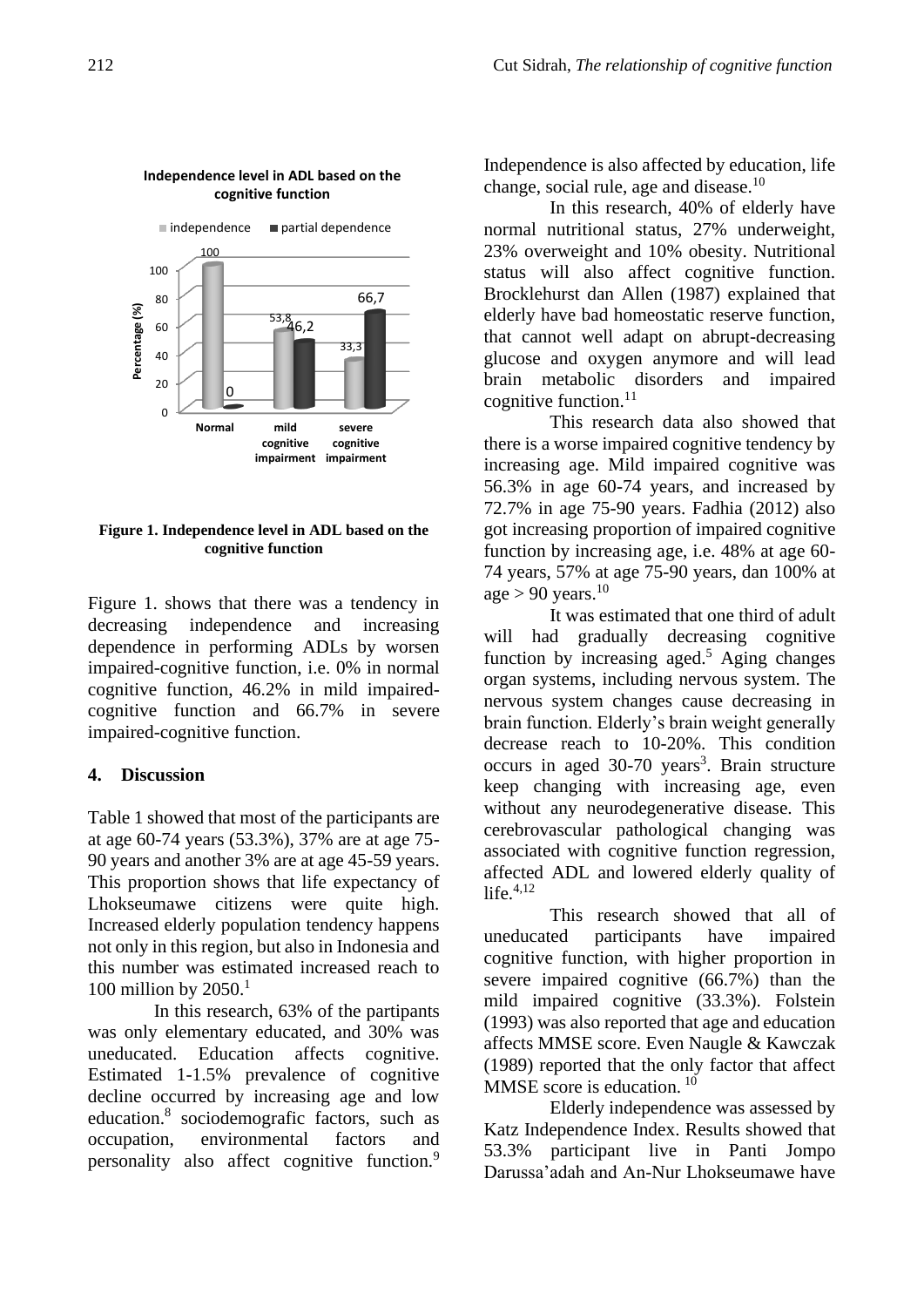

#### **Independence level in ADL based on the cognitive function**

**Figure 1. Independence level in ADL based on the cognitive function**

Figure 1. shows that there was a tendency in decreasing independence and increasing dependence in performing ADLs by worsen impaired-cognitive function, i.e. 0% in normal cognitive function, 46.2% in mild impairedcognitive function and 66.7% in severe impaired-cognitive function.

#### **4. Discussion**

Table 1 showed that most of the participants are at age 60-74 years (53.3%), 37% are at age 75- 90 years and another 3% are at age 45-59 years. This proportion shows that life expectancy of Lhokseumawe citizens were quite high. Increased elderly population tendency happens not only in this region, but also in Indonesia and this number was estimated increased reach to 100 million by  $2050<sup>1</sup>$ 

In this research, 63% of the partipants was only elementary educated, and 30% was uneducated. Education affects cognitive. Estimated 1-1.5% prevalence of cognitive decline occurred by increasing age and low education.<sup>8</sup> sociodemografic factors, such as occupation, environmental factors and personality also affect cognitive function.<sup>9</sup>

Independence is also affected by education, life change, social rule, age and disease.<sup>10</sup>

In this research, 40% of elderly have normal nutritional status, 27% underweight, 23% overweight and 10% obesity. Nutritional status will also affect cognitive function. Brocklehurst dan Allen (1987) explained that elderly have bad homeostatic reserve function, that cannot well adapt on abrupt-decreasing glucose and oxygen anymore and will lead brain metabolic disorders and impaired cognitive function.<sup>11</sup>

This research data also showed that there is a worse impaired cognitive tendency by increasing age. Mild impaired cognitive was 56.3% in age 60-74 years, and increased by 72.7% in age 75-90 years. Fadhia (2012) also got increasing proportion of impaired cognitive function by increasing age, i.e. 48% at age 60- 74 years, 57% at age 75-90 years, dan 100% at age > 90 years. $10$ 

It was estimated that one third of adult will had gradually decreasing cognitive function by increasing aged.<sup>5</sup> Aging changes organ systems, including nervous system. The nervous system changes cause decreasing in brain function. Elderly's brain weight generally decrease reach to 10-20%. This condition occurs in aged  $30-70$  years<sup>3</sup>. Brain structure keep changing with increasing age, even without any neurodegenerative disease. This cerebrovascular pathological changing was associated with cognitive function regression, affected ADL and lowered elderly quality of life. $4,12$ 

This research showed that all of uneducated participants have impaired cognitive function, with higher proportion in severe impaired cognitive (66.7%) than the mild impaired cognitive (33.3%). Folstein (1993) was also reported that age and education affects MMSE score. Even Naugle & Kawczak (1989) reported that the only factor that affect MMSE score is education.<sup>10</sup>

Elderly independence was assessed by Katz Independence Index. Results showed that 53.3% participant live in Panti Jompo Darussa'adah and An-Nur Lhokseumawe have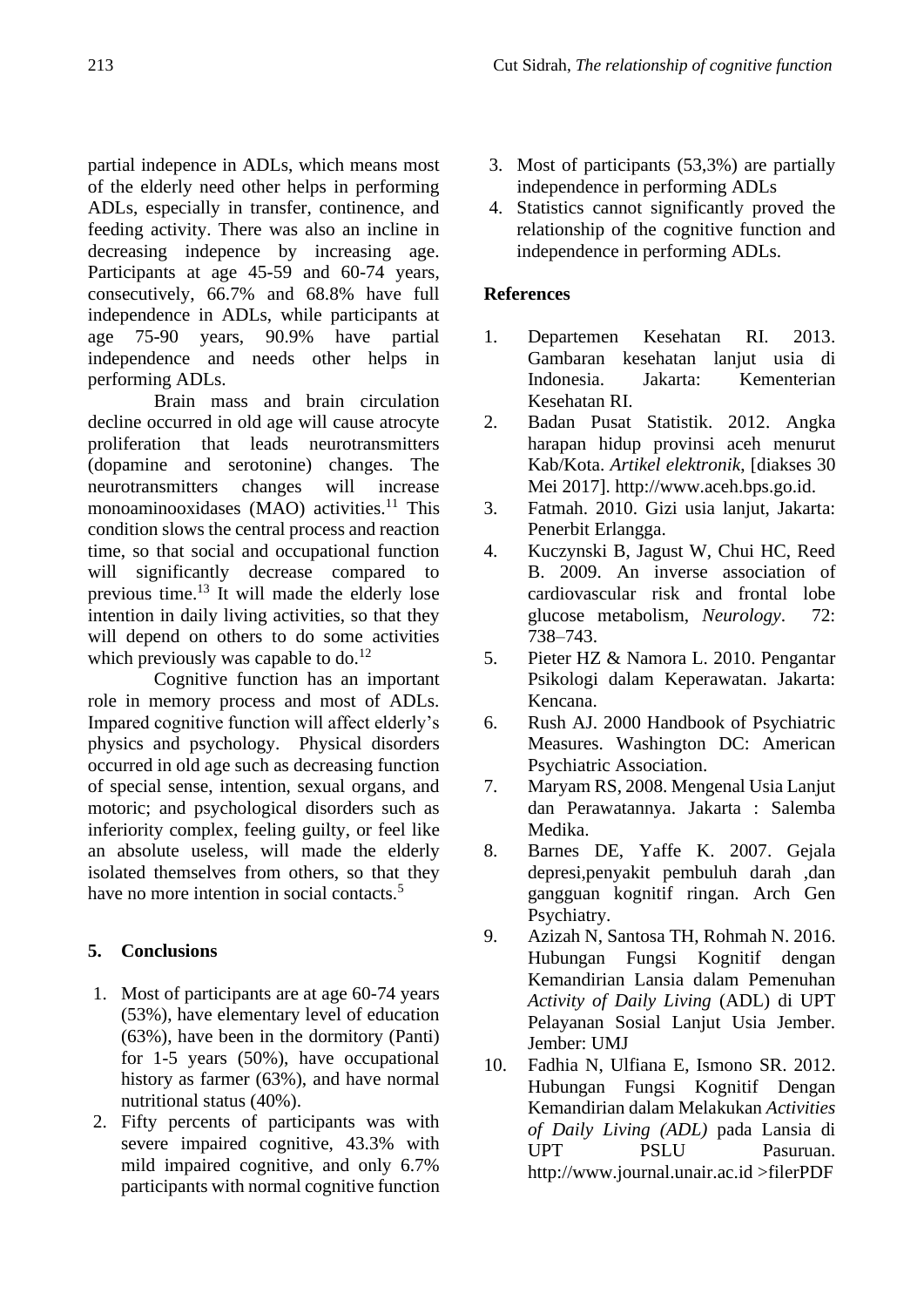partial indepence in ADLs, which means most of the elderly need other helps in performing ADLs, especially in transfer, continence, and feeding activity. There was also an incline in decreasing indepence by increasing age. Participants at age 45-59 and 60-74 years, consecutively, 66.7% and 68.8% have full independence in ADLs, while participants at age 75-90 years, 90.9% have partial independence and needs other helps in performing ADLs.

Brain mass and brain circulation decline occurred in old age will cause atrocyte proliferation that leads neurotransmitters (dopamine and serotonine) changes. The neurotransmitters changes will increase monoaminooxidases (MAO) activities.<sup>11</sup> This condition slows the central process and reaction time, so that social and occupational function will significantly decrease compared to previous time.<sup>13</sup> It will made the elderly lose intention in daily living activities, so that they will depend on others to do some activities which previously was capable to  $\delta$ .<sup>12</sup>

Cognitive function has an important role in memory process and most of ADLs. Impared cognitive function will affect elderly's physics and psychology. Physical disorders occurred in old age such as decreasing function of special sense, intention, sexual organs, and motoric; and psychological disorders such as inferiority complex, feeling guilty, or feel like an absolute useless, will made the elderly isolated themselves from others, so that they have no more intention in social contacts.<sup>5</sup>

## **5. Conclusions**

- 1. Most of participants are at age 60-74 years (53%), have elementary level of education (63%), have been in the dormitory (Panti) for 1-5 years (50%), have occupational history as farmer (63%), and have normal nutritional status (40%).
- 2. Fifty percents of participants was with severe impaired cognitive, 43.3% with mild impaired cognitive, and only 6.7% participants with normal cognitive function
- 3. Most of participants (53,3%) are partially independence in performing ADLs
- 4. Statistics cannot significantly proved the relationship of the cognitive function and independence in performing ADLs.

#### **References**

- 1. Departemen Kesehatan RI. 2013. Gambaran kesehatan lanjut usia di Indonesia. Jakarta: Kementerian Kesehatan RI.
- 2. Badan Pusat Statistik. 2012. Angka harapan hidup provinsi aceh menurut Kab/Kota. *Artikel elektronik*, [diakses 30 Mei 2017]. [http://www.aceh.bps.go.id.](http://www.aceh.bps.go.id/)
- 3. Fatmah. 2010. Gizi usia lanjut, Jakarta: Penerbit Erlangga.
- 4. Kuczynski B, Jagust W, Chui HC, Reed B. 2009. An inverse association of cardiovascular risk and frontal lobe glucose metabolism, *Neurology*. 72: 738–743.
- 5. Pieter HZ & Namora L. 2010. Pengantar Psikologi dalam Keperawatan. Jakarta: Kencana.
- 6. Rush AJ. 2000 Handbook of Psychiatric Measures. Washington DC: American Psychiatric Association.
- 7. Maryam RS, 2008. Mengenal Usia Lanjut dan Perawatannya. Jakarta : Salemba Medika.
- 8. Barnes DE, Yaffe K. 2007. Gejala depresi,penyakit pembuluh darah ,dan gangguan kognitif ringan. Arch Gen Psychiatry.
- 9. Azizah N, Santosa TH, Rohmah N. 2016. Hubungan Fungsi Kognitif dengan Kemandirian Lansia dalam Pemenuhan *Activity of Daily Living* (ADL) di UPT Pelayanan Sosial Lanjut Usia Jember. Jember: UMJ
- 10. Fadhia N, Ulfiana E, Ismono SR. 2012. Hubungan Fungsi Kognitif Dengan Kemandirian dalam Melakukan *Activities of Daily Living (ADL)* pada Lansia di UPT PSLU Pasuruan. http://www.journal.unair.ac.id >filerPDF